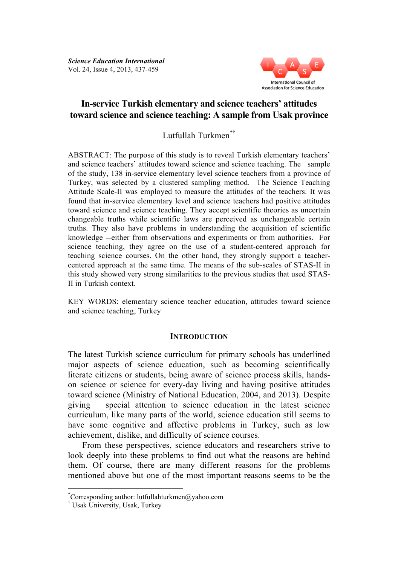

# **In-service Turkish elementary and science teachers' attitudes toward science and science teaching: A sample from Usak province**

Lutfullah Turkmen\*†

ABSTRACT: The purpose of this study is to reveal Turkish elementary teachers' and science teachers' attitudes toward science and science teaching. The sample of the study, 138 in-service elementary level science teachers from a province of Turkey, was selected by a clustered sampling method. The Science Teaching Attitude Scale-II was employed to measure the attitudes of the teachers. It was found that in-service elementary level and science teachers had positive attitudes toward science and science teaching. They accept scientific theories as uncertain changeable truths while scientific laws are perceived as unchangeable certain truths. They also have problems in understanding the acquisition of scientific knowledge -either from observations and experiments or from authorities. For science teaching, they agree on the use of a student-centered approach for teaching science courses. On the other hand, they strongly support a teachercentered approach at the same time. The means of the sub-scales of STAS-II in this study showed very strong similarities to the previous studies that used STAS-II in Turkish context.

KEY WORDS: elementary science teacher education, attitudes toward science and science teaching, Turkey

### **INTRODUCTION**

The latest Turkish science curriculum for primary schools has underlined major aspects of science education, such as becoming scientifically literate citizens or students, being aware of science process skills, handson science or science for every-day living and having positive attitudes toward science (Ministry of National Education, 2004, and 2013). Despite giving special attention to science education in the latest science curriculum, like many parts of the world, science education still seems to have some cognitive and affective problems in Turkey, such as low achievement, dislike, and difficulty of science courses.

From these perspectives, science educators and researchers strive to look deeply into these problems to find out what the reasons are behind them. Of course, there are many different reasons for the problems mentioned above but one of the most important reasons seems to be the

 <sup>\*</sup> Corresponding author: lutfullahturkmen@yahoo.com

<sup>†</sup> Usak University, Usak, Turkey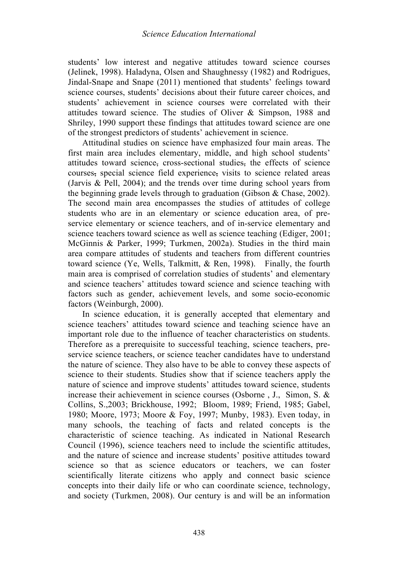students' low interest and negative attitudes toward science courses (Jelinek, 1998). Haladyna, Olsen and Shaughnessy (1982) and Rodrigues, Jindal-Snape and Snape (2011) mentioned that students' feelings toward science courses, students' decisions about their future career choices, and students' achievement in science courses were correlated with their attitudes toward science. The studies of Oliver & Simpson, 1988 and Shriley, 1990 support these findings that attitudes toward science are one of the strongest predictors of students' achievement in science.

Attitudinal studies on science have emphasized four main areas. The first main area includes elementary, middle, and high school students' attitudes toward science, cross-sectional studies, the effects of science courses, special science field experience, visits to science related areas (Jarvis & Pell, 2004); and the trends over time during school years from the beginning grade levels through to graduation (Gibson & Chase, 2002). The second main area encompasses the studies of attitudes of college students who are in an elementary or science education area, of preservice elementary or science teachers, and of in-service elementary and science teachers toward science as well as science teaching (Ediger, 2001; McGinnis & Parker, 1999; Turkmen, 2002a). Studies in the third main area compare attitudes of students and teachers from different countries toward science (Ye, Wells, Talkmitt, & Ren, 1998). Finally, the fourth main area is comprised of correlation studies of students' and elementary and science teachers' attitudes toward science and science teaching with factors such as gender, achievement levels, and some socio-economic factors (Weinburgh, 2000).

In science education, it is generally accepted that elementary and science teachers' attitudes toward science and teaching science have an important role due to the influence of teacher characteristics on students. Therefore as a prerequisite to successful teaching, science teachers, preservice science teachers, or science teacher candidates have to understand the nature of science. They also have to be able to convey these aspects of science to their students. Studies show that if science teachers apply the nature of science and improve students' attitudes toward science, students increase their achievement in science courses (Osborne , J., Simon, S. & Collins, S.,2003; Brickhouse, 1992; Bloom, 1989; Friend, 1985; Gabel, 1980; Moore, 1973; Moore & Foy, 1997; Munby, 1983). Even today, in many schools, the teaching of facts and related concepts is the characteristic of science teaching. As indicated in National Research Council (1996), science teachers need to include the scientific attitudes, and the nature of science and increase students' positive attitudes toward science so that as science educators or teachers, we can foster scientifically literate citizens who apply and connect basic science concepts into their daily life or who can coordinate science, technology, and society (Turkmen, 2008). Our century is and will be an information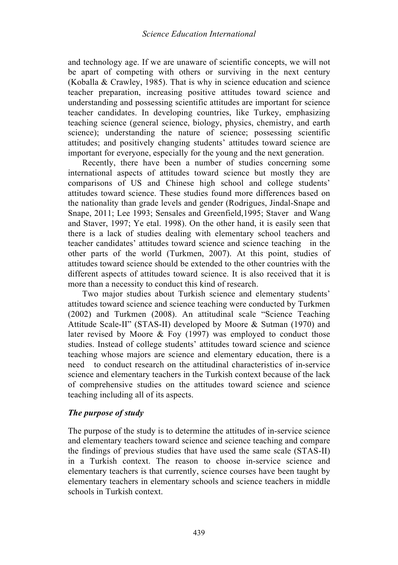and technology age. If we are unaware of scientific concepts, we will not be apart of competing with others or surviving in the next century (Koballa & Crawley, 1985). That is why in science education and science teacher preparation, increasing positive attitudes toward science and understanding and possessing scientific attitudes are important for science teacher candidates. In developing countries, like Turkey, emphasizing teaching science (general science, biology, physics, chemistry, and earth science); understanding the nature of science; possessing scientific attitudes; and positively changing students' attitudes toward science are important for everyone, especially for the young and the next generation.

Recently, there have been a number of studies concerning some international aspects of attitudes toward science but mostly they are comparisons of US and Chinese high school and college students' attitudes toward science. These studies found more differences based on the nationality than grade levels and gender (Rodrigues, Jindal-Snape and Snape, 2011; Lee 1993; Sensales and Greenfield,1995; Staver and Wang and Staver, 1997; Ye etal. 1998). On the other hand, it is easily seen that there is a lack of studies dealing with elementary school teachers and teacher candidates' attitudes toward science and science teaching in the other parts of the world (Turkmen, 2007). At this point, studies of attitudes toward science should be extended to the other countries with the different aspects of attitudes toward science. It is also received that it is more than a necessity to conduct this kind of research.

Two major studies about Turkish science and elementary students' attitudes toward science and science teaching were conducted by Turkmen (2002) and Turkmen (2008). An attitudinal scale "Science Teaching Attitude Scale-II" (STAS-II) developed by Moore & Sutman (1970) and later revised by Moore & Foy (1997) was employed to conduct those studies. Instead of college students' attitudes toward science and science teaching whose majors are science and elementary education, there is a need to conduct research on the attitudinal characteristics of in-service science and elementary teachers in the Turkish context because of the lack of comprehensive studies on the attitudes toward science and science teaching including all of its aspects.

# *The purpose of study*

The purpose of the study is to determine the attitudes of in-service science and elementary teachers toward science and science teaching and compare the findings of previous studies that have used the same scale (STAS-II) in a Turkish context. The reason to choose in-service science and elementary teachers is that currently, science courses have been taught by elementary teachers in elementary schools and science teachers in middle schools in Turkish context.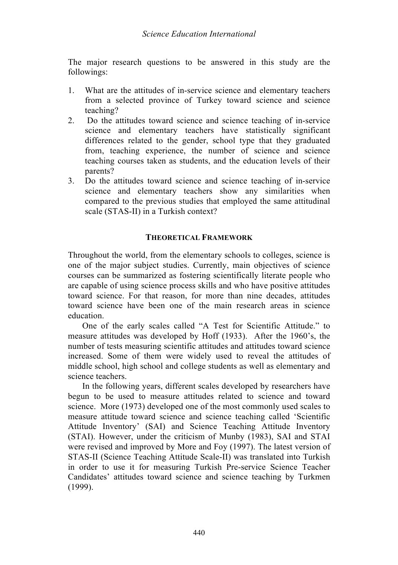The major research questions to be answered in this study are the followings:

- 1. What are the attitudes of in-service science and elementary teachers from a selected province of Turkey toward science and science teaching?
- 2. Do the attitudes toward science and science teaching of in-service science and elementary teachers have statistically significant differences related to the gender, school type that they graduated from, teaching experience, the number of science and science teaching courses taken as students, and the education levels of their parents?
- 3. Do the attitudes toward science and science teaching of in-service science and elementary teachers show any similarities when compared to the previous studies that employed the same attitudinal scale (STAS-II) in a Turkish context?

# **THEORETICAL FRAMEWORK**

Throughout the world, from the elementary schools to colleges, science is one of the major subject studies. Currently, main objectives of science courses can be summarized as fostering scientifically literate people who are capable of using science process skills and who have positive attitudes toward science. For that reason, for more than nine decades, attitudes toward science have been one of the main research areas in science education.

One of the early scales called "A Test for Scientific Attitude." to measure attitudes was developed by Hoff (1933). After the 1960's, the number of tests measuring scientific attitudes and attitudes toward science increased. Some of them were widely used to reveal the attitudes of middle school, high school and college students as well as elementary and science teachers.

In the following years, different scales developed by researchers have begun to be used to measure attitudes related to science and toward science. More (1973) developed one of the most commonly used scales to measure attitude toward science and science teaching called 'Scientific Attitude Inventory' (SAI) and Science Teaching Attitude Inventory (STAI). However, under the criticism of Munby (1983), SAI and STAI were revised and improved by More and Foy (1997). The latest version of STAS-II (Science Teaching Attitude Scale-II) was translated into Turkish in order to use it for measuring Turkish Pre-service Science Teacher Candidates' attitudes toward science and science teaching by Turkmen (1999).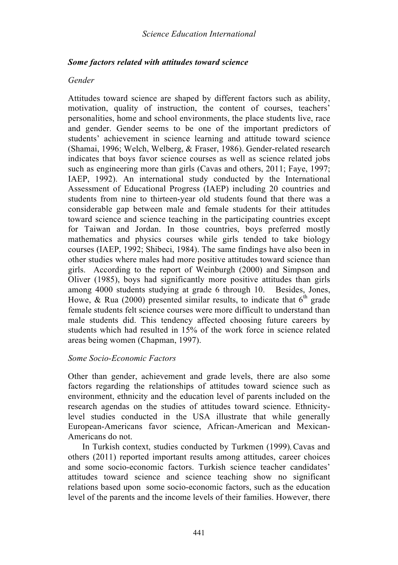### *Some factors related with attitudes toward science*

### *Gender*

Attitudes toward science are shaped by different factors such as ability, motivation, quality of instruction, the content of courses, teachers' personalities, home and school environments, the place students live, race and gender. Gender seems to be one of the important predictors of students' achievement in science learning and attitude toward science (Shamai, 1996; Welch, Welberg, & Fraser, 1986). Gender-related research indicates that boys favor science courses as well as science related jobs such as engineering more than girls (Cavas and others, 2011; Faye, 1997; IAEP, 1992). An international study conducted by the International Assessment of Educational Progress (IAEP) including 20 countries and students from nine to thirteen-year old students found that there was a considerable gap between male and female students for their attitudes toward science and science teaching in the participating countries except for Taiwan and Jordan. In those countries, boys preferred mostly mathematics and physics courses while girls tended to take biology courses (IAEP, 1992; Shibeci, 1984). The same findings have also been in other studies where males had more positive attitudes toward science than girls. According to the report of Weinburgh (2000) and Simpson and Oliver (1985), boys had significantly more positive attitudes than girls among 4000 students studying at grade 6 through 10. Besides, Jones, Howe, & Rua (2000) presented similar results, to indicate that  $6<sup>th</sup>$  grade female students felt science courses were more difficult to understand than male students did. This tendency affected choosing future careers by students which had resulted in 15% of the work force in science related areas being women (Chapman, 1997).

### *Some Socio-Economic Factors*

Other than gender, achievement and grade levels, there are also some factors regarding the relationships of attitudes toward science such as environment, ethnicity and the education level of parents included on the research agendas on the studies of attitudes toward science. Ethnicitylevel studies conducted in the USA illustrate that while generally European-Americans favor science, African-American and Mexican-Americans do not.

In Turkish context, studies conducted by Turkmen (1999), Cavas and others (2011) reported important results among attitudes, career choices and some socio-economic factors. Turkish science teacher candidates' attitudes toward science and science teaching show no significant relations based upon some socio-economic factors, such as the education level of the parents and the income levels of their families. However, there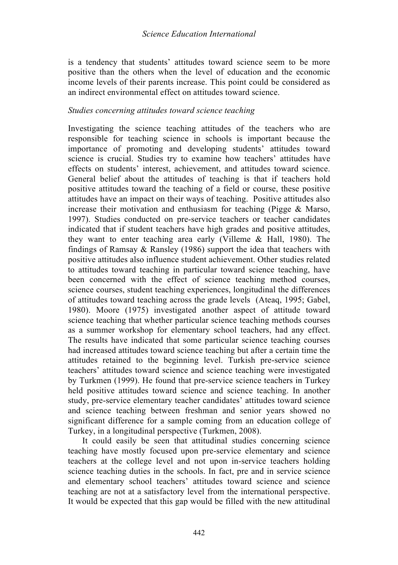is a tendency that students' attitudes toward science seem to be more positive than the others when the level of education and the economic income levels of their parents increase. This point could be considered as an indirect environmental effect on attitudes toward science.

#### *Studies concerning attitudes toward science teaching*

Investigating the science teaching attitudes of the teachers who are responsible for teaching science in schools is important because the importance of promoting and developing students' attitudes toward science is crucial. Studies try to examine how teachers' attitudes have effects on students' interest, achievement, and attitudes toward science. General belief about the attitudes of teaching is that if teachers hold positive attitudes toward the teaching of a field or course, these positive attitudes have an impact on their ways of teaching. Positive attitudes also increase their motivation and enthusiasm for teaching (Pigge & Marso, 1997). Studies conducted on pre-service teachers or teacher candidates indicated that if student teachers have high grades and positive attitudes, they want to enter teaching area early (Villeme & Hall, 1980). The findings of Ramsay & Ransley (1986) support the idea that teachers with positive attitudes also influence student achievement. Other studies related to attitudes toward teaching in particular toward science teaching, have been concerned with the effect of science teaching method courses, science courses, student teaching experiences, longitudinal the differences of attitudes toward teaching across the grade levels (Ateaq, 1995; Gabel, 1980). Moore (1975) investigated another aspect of attitude toward science teaching that whether particular science teaching methods courses as a summer workshop for elementary school teachers, had any effect. The results have indicated that some particular science teaching courses had increased attitudes toward science teaching but after a certain time the attitudes retained to the beginning level. Turkish pre-service science teachers' attitudes toward science and science teaching were investigated by Turkmen (1999). He found that pre-service science teachers in Turkey held positive attitudes toward science and science teaching. In another study, pre-service elementary teacher candidates' attitudes toward science and science teaching between freshman and senior years showed no significant difference for a sample coming from an education college of Turkey, in a longitudinal perspective (Turkmen, 2008).

It could easily be seen that attitudinal studies concerning science teaching have mostly focused upon pre-service elementary and science teachers at the college level and not upon in-service teachers holding science teaching duties in the schools. In fact, pre and in service science and elementary school teachers' attitudes toward science and science teaching are not at a satisfactory level from the international perspective. It would be expected that this gap would be filled with the new attitudinal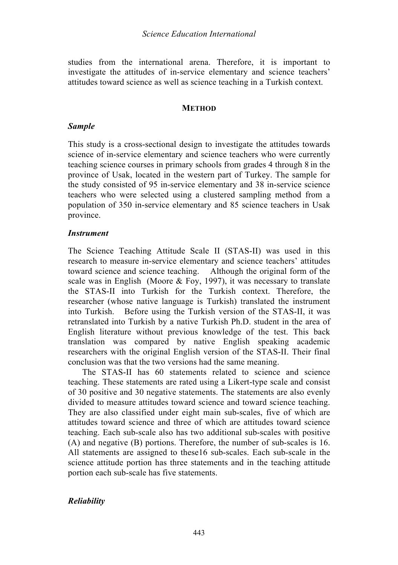studies from the international arena. Therefore, it is important to investigate the attitudes of in-service elementary and science teachers' attitudes toward science as well as science teaching in a Turkish context.

#### **METHOD**

### *Sample*

This study is a cross-sectional design to investigate the attitudes towards science of in-service elementary and science teachers who were currently teaching science courses in primary schools from grades 4 through 8 in the province of Usak, located in the western part of Turkey. The sample for the study consisted of 95 in-service elementary and 38 in-service science teachers who were selected using a clustered sampling method from a population of 350 in-service elementary and 85 science teachers in Usak province.

### *Instrument*

The Science Teaching Attitude Scale II (STAS-II) was used in this research to measure in-service elementary and science teachers' attitudes toward science and science teaching. Although the original form of the scale was in English (Moore  $&$  Foy, 1997), it was necessary to translate the STAS-II into Turkish for the Turkish context. Therefore, the researcher (whose native language is Turkish) translated the instrument into Turkish. Before using the Turkish version of the STAS-II, it was retranslated into Turkish by a native Turkish Ph.D. student in the area of English literature without previous knowledge of the test. This back translation was compared by native English speaking academic researchers with the original English version of the STAS-II. Their final conclusion was that the two versions had the same meaning.

The STAS-II has 60 statements related to science and science teaching. These statements are rated using a Likert-type scale and consist of 30 positive and 30 negative statements. The statements are also evenly divided to measure attitudes toward science and toward science teaching. They are also classified under eight main sub-scales, five of which are attitudes toward science and three of which are attitudes toward science teaching. Each sub-scale also has two additional sub-scales with positive (A) and negative (B) portions. Therefore, the number of sub-scales is 16. All statements are assigned to these16 sub-scales. Each sub-scale in the science attitude portion has three statements and in the teaching attitude portion each sub-scale has five statements.

### *Reliability*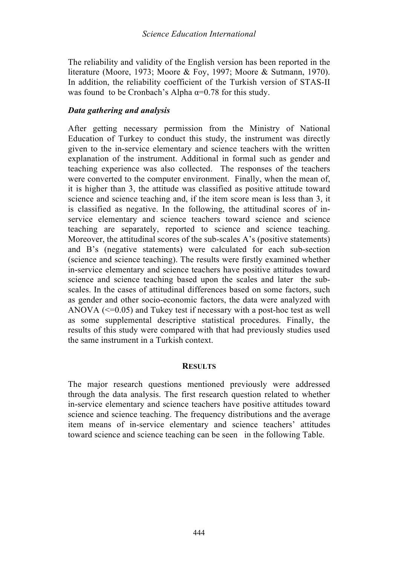The reliability and validity of the English version has been reported in the literature (Moore, 1973; Moore & Foy, 1997; Moore & Sutmann, 1970). In addition, the reliability coefficient of the Turkish version of STAS-II was found to be Cronbach's Alpha  $\alpha$ =0.78 for this study.

### *Data gathering and analysis*

After getting necessary permission from the Ministry of National Education of Turkey to conduct this study, the instrument was directly given to the in-service elementary and science teachers with the written explanation of the instrument. Additional in formal such as gender and teaching experience was also collected. The responses of the teachers were converted to the computer environment. Finally, when the mean of, it is higher than 3, the attitude was classified as positive attitude toward science and science teaching and, if the item score mean is less than 3, it is classified as negative. In the following, the attitudinal scores of inservice elementary and science teachers toward science and science teaching are separately, reported to science and science teaching. Moreover, the attitudinal scores of the sub-scales A's (positive statements) and B's (negative statements) were calculated for each sub-section (science and science teaching). The results were firstly examined whether in-service elementary and science teachers have positive attitudes toward science and science teaching based upon the scales and later the subscales. In the cases of attitudinal differences based on some factors, such as gender and other socio-economic factors, the data were analyzed with ANOVA  $\leq 0.05$  and Tukey test if necessary with a post-hoc test as well as some supplemental descriptive statistical procedures. Finally, the results of this study were compared with that had previously studies used the same instrument in a Turkish context.

### **RESULTS**

The major research questions mentioned previously were addressed through the data analysis. The first research question related to whether in-service elementary and science teachers have positive attitudes toward science and science teaching. The frequency distributions and the average item means of in-service elementary and science teachers' attitudes toward science and science teaching can be seen in the following Table.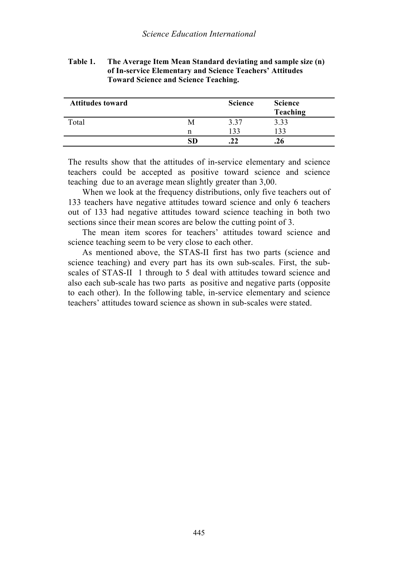| <b>Attitudes toward</b> |   | <b>Science</b> | <b>Science</b><br>Teaching |
|-------------------------|---|----------------|----------------------------|
| Total                   | M | 3.37           | 3.33                       |
|                         | n | 133            | 133                        |
|                         |   | .22            |                            |

**Table 1. The Average Item Mean Standard deviating and sample size (n) of In-service Elementary and Science Teachers' Attitudes Toward Science and Science Teaching.**

The results show that the attitudes of in-service elementary and science teachers could be accepted as positive toward science and science teaching due to an average mean slightly greater than 3,00.

When we look at the frequency distributions, only five teachers out of 133 teachers have negative attitudes toward science and only 6 teachers out of 133 had negative attitudes toward science teaching in both two sections since their mean scores are below the cutting point of 3.

The mean item scores for teachers' attitudes toward science and science teaching seem to be very close to each other.

As mentioned above, the STAS-II first has two parts (science and science teaching) and every part has its own sub-scales. First, the subscales of STAS-II 1 through to 5 deal with attitudes toward science and also each sub-scale has two parts as positive and negative parts (opposite to each other). In the following table, in-service elementary and science teachers' attitudes toward science as shown in sub-scales were stated.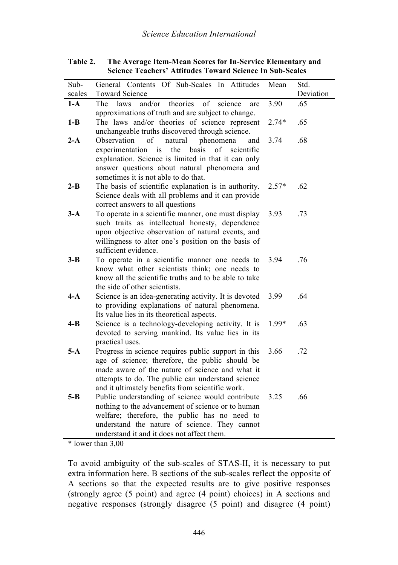| Sub-    | General Contents Of Sub-Scales In Attitudes                                                             | Mean    | Std.      |
|---------|---------------------------------------------------------------------------------------------------------|---------|-----------|
| scales  | <b>Toward Science</b>                                                                                   |         | Deviation |
| $1-A$   | The<br>laws<br>and/or<br>theories<br>of<br>science<br>are                                               | 3.90    | .65       |
|         | approximations of truth and are subject to change.                                                      |         |           |
| $1-B$   | The laws and/or theories of science represent                                                           | $2.74*$ | .65       |
|         | unchangeable truths discovered through science.                                                         |         |           |
| $2-A$   | Observation<br>of<br>natural<br>phenomena<br>and                                                        | 3.74    | .68       |
|         | of<br>experimentation<br>the<br>basis<br>scientific<br><i>is</i>                                        |         |           |
|         | explanation. Science is limited in that it can only                                                     |         |           |
|         | answer questions about natural phenomena and                                                            |         |           |
|         | sometimes it is not able to do that.                                                                    |         |           |
| $2 - B$ | The basis of scientific explanation is in authority.                                                    | $2.57*$ | .62       |
|         | Science deals with all problems and it can provide                                                      |         |           |
|         | correct answers to all questions                                                                        |         |           |
| $3-A$   | To operate in a scientific manner, one must display                                                     | 3.93    | .73       |
|         | such traits as intellectual honesty, dependence                                                         |         |           |
|         | upon objective observation of natural events, and                                                       |         |           |
|         | willingness to alter one's position on the basis of                                                     |         |           |
|         | sufficient evidence.                                                                                    |         |           |
| $3 - B$ | To operate in a scientific manner one needs to                                                          | 3.94    | .76       |
|         | know what other scientists think; one needs to<br>know all the scientific truths and to be able to take |         |           |
|         | the side of other scientists.                                                                           |         |           |
| 4-A     | Science is an idea-generating activity. It is devoted                                                   | 3.99    | .64       |
|         | to providing explanations of natural phenomena.                                                         |         |           |
|         | Its value lies in its theoretical aspects.                                                              |         |           |
| 4-B     | Science is a technology-developing activity. It is                                                      | 1.99*   | .63       |
|         | devoted to serving mankind. Its value lies in its                                                       |         |           |
|         | practical uses.                                                                                         |         |           |
| $5-A$   | Progress in science requires public support in this                                                     | 3.66    | .72       |
|         | age of science; therefore, the public should be                                                         |         |           |
|         | made aware of the nature of science and what it                                                         |         |           |
|         | attempts to do. The public can understand science                                                       |         |           |
|         | and it ultimately benefits from scientific work.                                                        |         |           |
| $5 - B$ | Public understanding of science would contribute                                                        | 3.25    | .66       |
|         | nothing to the advancement of science or to human                                                       |         |           |
|         | welfare; therefore, the public has no need to                                                           |         |           |
|         | understand the nature of science. They cannot                                                           |         |           |
|         | understand it and it does not affect them.                                                              |         |           |

**Table 2. The Average Item-Mean Scores for In-Service Elementary and Science Teachers' Attitudes Toward Science In Sub-Scales** 

\* lower than 3,00

To avoid ambiguity of the sub-scales of STAS-II, it is necessary to put extra information here. B sections of the sub-scales reflect the opposite of A sections so that the expected results are to give positive responses (strongly agree (5 point) and agree (4 point) choices) in A sections and negative responses (strongly disagree (5 point) and disagree (4 point)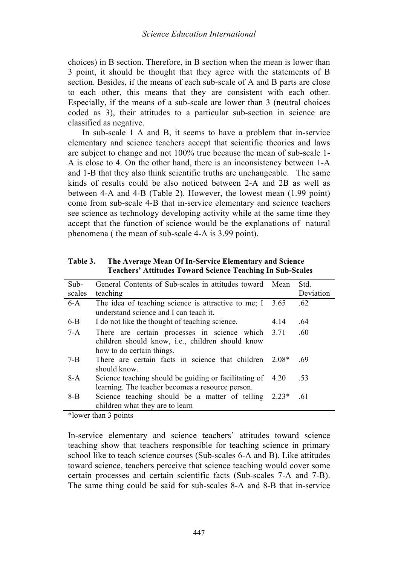choices) in B section. Therefore, in B section when the mean is lower than 3 point, it should be thought that they agree with the statements of B section. Besides, if the means of each sub-scale of A and B parts are close to each other, this means that they are consistent with each other. Especially, if the means of a sub-scale are lower than 3 (neutral choices coded as 3), their attitudes to a particular sub-section in science are classified as negative.

In sub-scale 1 A and B, it seems to have a problem that in-service elementary and science teachers accept that scientific theories and laws are subject to change and not 100% true because the mean of sub-scale 1- A is close to 4. On the other hand, there is an inconsistency between 1-A and 1-B that they also think scientific truths are unchangeable. The same kinds of results could be also noticed between 2-A and 2B as well as between 4-A and 4-B (Table 2). However, the lowest mean (1.99 point) come from sub-scale 4-B that in-service elementary and science teachers see science as technology developing activity while at the same time they accept that the function of science would be the explanations of natural phenomena ( the mean of sub-scale 4-A is 3.99 point).

**Table 3. The Average Mean Of In-Service Elementary and Science Teachers' Attitudes Toward Science Teaching In Sub-Scales** 

| Sub-    | General Contents of Sub-scales in attitudes toward Mean                                                       |         | Std.      |
|---------|---------------------------------------------------------------------------------------------------------------|---------|-----------|
| scales  | teaching                                                                                                      |         | Deviation |
| $6-A$   | The idea of teaching science is attractive to me; I                                                           | 3.65    | .62       |
|         | understand science and I can teach it.                                                                        |         |           |
| $6-B$   | I do not like the thought of teaching science.                                                                | 4.14    | .64       |
| $7-A$   | There are certain processes in science which 3.71<br>children should know, <i>i.e.</i> , children should know |         | .60       |
|         | how to do certain things.                                                                                     |         |           |
| $7 - B$ | There are certain facts in science that children<br>should know                                               | $2.08*$ | .69       |
| $8-A$   | Science teaching should be guiding or facilitating of<br>learning. The teacher becomes a resource person.     | 4.20    | .53       |
| $8 - B$ | Science teaching should be a matter of telling $2.23*$                                                        |         | .61       |
|         | children what they are to learn                                                                               |         |           |

\*lower than 3 points

In-service elementary and science teachers' attitudes toward science teaching show that teachers responsible for teaching science in primary school like to teach science courses (Sub-scales 6-A and B). Like attitudes toward science, teachers perceive that science teaching would cover some certain processes and certain scientific facts (Sub-scales 7-A and 7-B). The same thing could be said for sub-scales 8-A and 8-B that in-service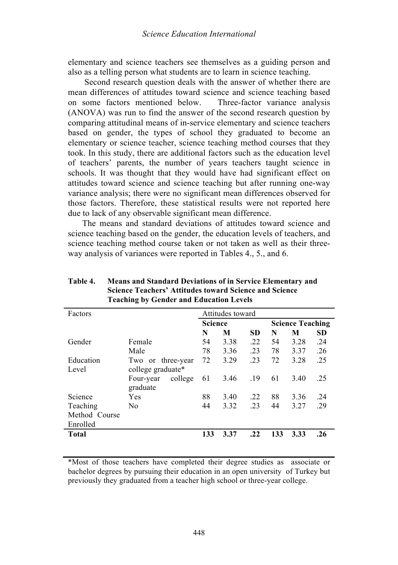elementary and science teachers see themselves as a guiding person and also as a telling person what students are to learn in science teaching.

Second research question deals with the answer of whether there are mean differences of attitudes toward science and science teaching based on some factors mentioned below. Three-factor variance analysis (ANOVA) was run to find the answer of the second research question by comparing attitudinal means of in-service elementary and science teachers based on gender, the types of school they graduated to become an elementary or science teacher, science teaching method courses that they took. In this study, there are additional factors such as the education level of teachers' parents, the number of years teachers taught science in schools. It was thought that they would have had significant effect on attitudes toward science and science teaching but after running one-way variance analysis; there were no significant mean differences observed for those factors. Therefore, these statistical results were not reported here due to lack of any observable significant mean difference.

The means and standard deviations of attitudes toward science and science teaching based on the gender, the education levels of teachers, and science teaching method course taken or not taken as well as their threeway analysis of variances were reported in Tables 4., 5., and 6.

| Factors       |                      |                | Attitudes toward |     |     |                         |           |  |  |
|---------------|----------------------|----------------|------------------|-----|-----|-------------------------|-----------|--|--|
|               |                      | <b>Science</b> |                  |     |     | <b>Science Teaching</b> |           |  |  |
|               |                      | N              | М                | SD. | N   | M                       | <b>SD</b> |  |  |
| Gender        | Female               | 54             | 3.38             | .22 | 54  | 3.28                    | .24       |  |  |
|               | Male                 | 78             | 3.36             | .23 | 78  | 3.37                    | .26       |  |  |
| Education     | Two or three-year    | 72             | 3.29             | .23 | 72  | 3.28                    | .25       |  |  |
| Level         | college graduate*    |                |                  |     |     |                         |           |  |  |
|               | college<br>Four-year | 61             | 3.46             | .19 | 61  | 3.40                    | .25       |  |  |
|               | graduate             |                |                  |     |     |                         |           |  |  |
| Science       | Yes                  | 88             | 3.40             | .22 | 88  | 3.36                    | .24       |  |  |
| Teaching      | N <sub>0</sub>       | 44             | 3.32             | .23 | 44  | 3.27                    | .29       |  |  |
| Method Course |                      |                |                  |     |     |                         |           |  |  |
| Enrolled      |                      |                |                  |     |     |                         |           |  |  |
| <b>Total</b>  |                      | 133            | 3.37             | .22 | 133 | 3.33                    | .26       |  |  |
|               |                      |                |                  |     |     |                         |           |  |  |

**Table 4. Means and Standard Deviations of in Service Elementary and Science Teachers' Attitudes toward Science and Science Teaching by Gender and Education Levels**

\*Most of those teachers have completed their degree studies as associate or bachelor degrees by pursuing their education in an open university of Turkey but previously they graduated from a teacher high school or three-year college.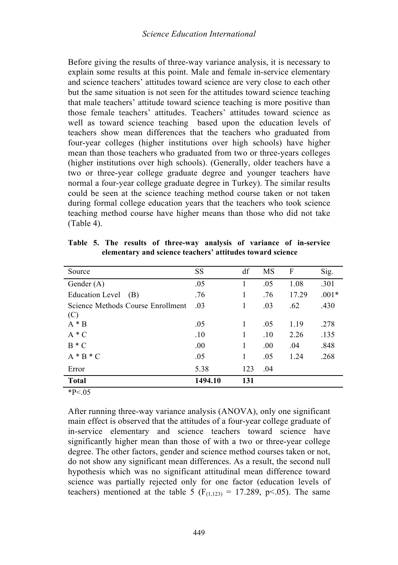Before giving the results of three-way variance analysis, it is necessary to explain some results at this point. Male and female in-service elementary and science teachers' attitudes toward science are very close to each other but the same situation is not seen for the attitudes toward science teaching that male teachers' attitude toward science teaching is more positive than those female teachers' attitudes. Teachers' attitudes toward science as well as toward science teaching based upon the education levels of teachers show mean differences that the teachers who graduated from four-year colleges (higher institutions over high schools) have higher mean than those teachers who graduated from two or three-years colleges (higher institutions over high schools). (Generally, older teachers have a two or three-year college graduate degree and younger teachers have normal a four-year college graduate degree in Turkey). The similar results could be seen at the science teaching method course taken or not taken during formal college education years that the teachers who took science teaching method course have higher means than those who did not take (Table 4).

| Source                            | SS      | df  | MS  | F     | Sig.    |
|-----------------------------------|---------|-----|-----|-------|---------|
| Gender $(A)$                      | .05     | 1   | .05 | 1.08  | .301    |
| <b>Education Level</b><br>(B)     | .76     | 1   | .76 | 17.29 | $.001*$ |
| Science Methods Course Enrollment | .03     | 1   | .03 | .62   | .430    |
| (C)                               |         |     |     |       |         |
| $A * B$                           | .05     | 1   | .05 | 1.19  | .278    |
| $A * C$                           | .10     | 1   | .10 | 2.26  | .135    |
| $B*C$                             | .00     | 1   | .00 | .04   | .848    |
| $A * B * C$                       | .05     | 1   | .05 | 1.24  | .268    |
| Error                             | 5.38    | 123 | .04 |       |         |
| <b>Total</b>                      | 1494.10 | 131 |     |       |         |

**Table 5. The results of three-way analysis of variance of in-service elementary and science teachers' attitudes toward science**

 $*P<.05$ 

After running three-way variance analysis (ANOVA), only one significant main effect is observed that the attitudes of a four-year college graduate of in-service elementary and science teachers toward science have significantly higher mean than those of with a two or three-year college degree. The other factors, gender and science method courses taken or not, do not show any significant mean differences. As a result, the second null hypothesis which was no significant attitudinal mean difference toward science was partially rejected only for one factor (education levels of teachers) mentioned at the table 5 ( $F_{(1,123)} = 17.289$ , p<.05). The same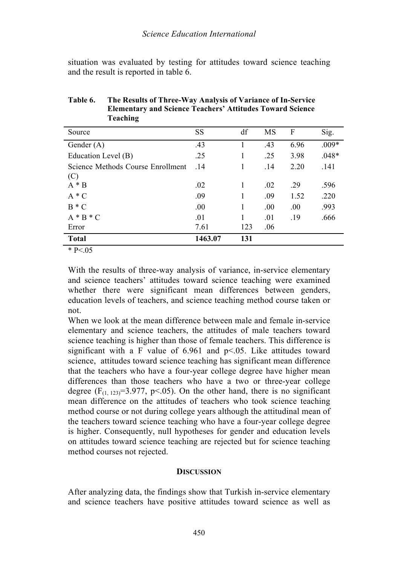situation was evaluated by testing for attitudes toward science teaching and the result is reported in table 6.

| Source                            | SS      | df  | MS  | F    | Sig.    |
|-----------------------------------|---------|-----|-----|------|---------|
| Gender $(A)$                      | .43     |     | .43 | 6.96 | $.009*$ |
| Education Level (B)               | .25     | 1   | .25 | 3.98 | $.048*$ |
| Science Methods Course Enrollment | .14     | 1   | .14 | 2.20 | .141    |
| (C)                               |         |     |     |      |         |
| $A * B$                           | .02     | 1   | .02 | .29  | .596    |
| $A * C$                           | .09     | 1   | .09 | 1.52 | .220    |
| $B * C$                           | .00     | 1   | .00 | .00. | .993    |
| $A * B * C$                       | .01     | 1   | .01 | .19  | .666    |
| Error                             | 7.61    | 123 | .06 |      |         |
| <b>Total</b>                      | 1463.07 | 131 |     |      |         |

**Table 6. The Results of Three-Way Analysis of Variance of In-Service Elementary and Science Teachers' Attitudes Toward Science Teaching**

 $*$  P<.05

With the results of three-way analysis of variance, in-service elementary and science teachers' attitudes toward science teaching were examined whether there were significant mean differences between genders, education levels of teachers, and science teaching method course taken or not.

When we look at the mean difference between male and female in-service elementary and science teachers, the attitudes of male teachers toward science teaching is higher than those of female teachers. This difference is significant with a F value of  $6.961$  and  $p<.05$ . Like attitudes toward science, attitudes toward science teaching has significant mean difference that the teachers who have a four-year college degree have higher mean differences than those teachers who have a two or three-year college degree  $(F_{(1, 123)}=3.977, p<0.05)$ . On the other hand, there is no significant mean difference on the attitudes of teachers who took science teaching method course or not during college years although the attitudinal mean of the teachers toward science teaching who have a four-year college degree is higher. Consequently, null hypotheses for gender and education levels on attitudes toward science teaching are rejected but for science teaching method courses not rejected.

### **DISCUSSION**

After analyzing data, the findings show that Turkish in-service elementary and science teachers have positive attitudes toward science as well as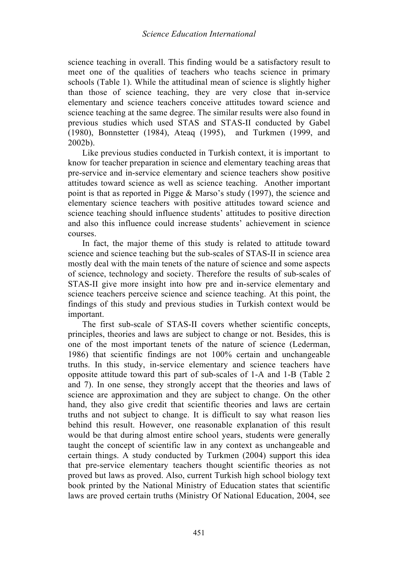science teaching in overall. This finding would be a satisfactory result to meet one of the qualities of teachers who teachs science in primary schools (Table 1). While the attitudinal mean of science is slightly higher than those of science teaching, they are very close that in-service elementary and science teachers conceive attitudes toward science and science teaching at the same degree. The similar results were also found in previous studies which used STAS and STAS-II conducted by Gabel (1980), Bonnstetter (1984), Ateaq (1995), and Turkmen (1999, and 2002b).

Like previous studies conducted in Turkish context, it is important to know for teacher preparation in science and elementary teaching areas that pre-service and in-service elementary and science teachers show positive attitudes toward science as well as science teaching. Another important point is that as reported in Pigge & Marso's study (1997), the science and elementary science teachers with positive attitudes toward science and science teaching should influence students' attitudes to positive direction and also this influence could increase students' achievement in science courses.

In fact, the major theme of this study is related to attitude toward science and science teaching but the sub-scales of STAS-II in science area mostly deal with the main tenets of the nature of science and some aspects of science, technology and society. Therefore the results of sub-scales of STAS-II give more insight into how pre and in-service elementary and science teachers perceive science and science teaching. At this point, the findings of this study and previous studies in Turkish context would be important.

The first sub-scale of STAS-II covers whether scientific concepts, principles, theories and laws are subject to change or not. Besides, this is one of the most important tenets of the nature of science (Lederman, 1986) that scientific findings are not 100% certain and unchangeable truths. In this study, in-service elementary and science teachers have opposite attitude toward this part of sub-scales of 1-A and 1-B (Table 2 and 7). In one sense, they strongly accept that the theories and laws of science are approximation and they are subject to change. On the other hand, they also give credit that scientific theories and laws are certain truths and not subject to change. It is difficult to say what reason lies behind this result. However, one reasonable explanation of this result would be that during almost entire school years, students were generally taught the concept of scientific law in any context as unchangeable and certain things. A study conducted by Turkmen (2004) support this idea that pre-service elementary teachers thought scientific theories as not proved but laws as proved. Also, current Turkish high school biology text book printed by the National Ministry of Education states that scientific laws are proved certain truths (Ministry Of National Education, 2004, see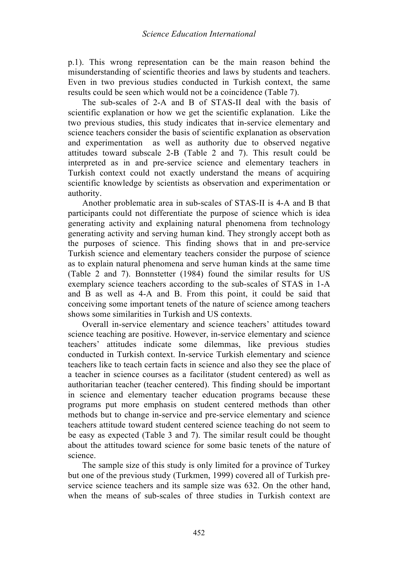#### *Science Education International*

p.1). This wrong representation can be the main reason behind the misunderstanding of scientific theories and laws by students and teachers. Even in two previous studies conducted in Turkish context, the same results could be seen which would not be a coincidence (Table 7).

The sub-scales of 2-A and B of STAS-II deal with the basis of scientific explanation or how we get the scientific explanation. Like the two previous studies, this study indicates that in-service elementary and science teachers consider the basis of scientific explanation as observation and experimentation as well as authority due to observed negative attitudes toward subscale 2-B (Table 2 and 7). This result could be interpreted as in and pre-service science and elementary teachers in Turkish context could not exactly understand the means of acquiring scientific knowledge by scientists as observation and experimentation or authority.

Another problematic area in sub-scales of STAS-II is 4-A and B that participants could not differentiate the purpose of science which is idea generating activity and explaining natural phenomena from technology generating activity and serving human kind. They strongly accept both as the purposes of science. This finding shows that in and pre-service Turkish science and elementary teachers consider the purpose of science as to explain natural phenomena and serve human kinds at the same time (Table 2 and 7). Bonnstetter (1984) found the similar results for US exemplary science teachers according to the sub-scales of STAS in 1-A and B as well as 4-A and B. From this point, it could be said that conceiving some important tenets of the nature of science among teachers shows some similarities in Turkish and US contexts.

Overall in-service elementary and science teachers' attitudes toward science teaching are positive. However, in-service elementary and science teachers' attitudes indicate some dilemmas, like previous studies conducted in Turkish context. In-service Turkish elementary and science teachers like to teach certain facts in science and also they see the place of a teacher in science courses as a facilitator (student centered) as well as authoritarian teacher (teacher centered). This finding should be important in science and elementary teacher education programs because these programs put more emphasis on student centered methods than other methods but to change in-service and pre-service elementary and science teachers attitude toward student centered science teaching do not seem to be easy as expected (Table 3 and 7). The similar result could be thought about the attitudes toward science for some basic tenets of the nature of science.

The sample size of this study is only limited for a province of Turkey but one of the previous study (Turkmen, 1999) covered all of Turkish preservice science teachers and its sample size was 632. On the other hand, when the means of sub-scales of three studies in Turkish context are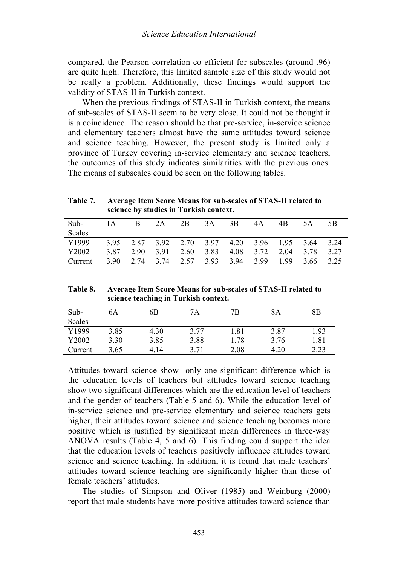compared, the Pearson correlation co-efficient for subscales (around .96) are quite high. Therefore, this limited sample size of this study would not be really a problem. Additionally, these findings would support the validity of STAS-II in Turkish context.

When the previous findings of STAS-II in Turkish context, the means of sub-scales of STAS-II seem to be very close. It could not be thought it is a coincidence. The reason should be that pre-service, in-service science and elementary teachers almost have the same attitudes toward science and science teaching. However, the present study is limited only a province of Turkey covering in-service elementary and science teachers, the outcomes of this study indicates similarities with the previous ones. The means of subscales could be seen on the following tables.

**Table 7. Average Item Score Means for sub-scales of STAS-II related to science by studies in Turkish context.**

| Sub-<br>Scales | 1 A  | 1 B  | 2A        | 2B   | 3A   | 3B   | 4A   | 4B   | 5A   | 5B    |
|----------------|------|------|-----------|------|------|------|------|------|------|-------|
| Y1999          | 395  | 2.87 | 3.92 2.70 |      | 3.97 | 4.20 | 3.96 | 195  | 3.64 | 3 2 4 |
| Y2002          | 3.87 | 2.90 | 3.91      | 2.60 | 3.83 | 4.08 | 3.72 | 2.04 | 3.78 | 3 27  |
| Current        | 3.90 | 2.74 | 3.74      | 2.57 | 3.93 | 3.94 | 3.99 | 199  | 3.66 | 3.25  |

**Table 8. Average Item Score Means for sub-scales of STAS-II related to science teaching in Turkish context.**

| $Sub-$        | 6A   | 6B   | 7Α   | 7B   | 8Α   | 8Β   |
|---------------|------|------|------|------|------|------|
| <b>Scales</b> |      |      |      |      |      |      |
| Y1999         | 3.85 | 4.30 | 3.77 | 1.81 | 3.87 | 1.93 |
| Y2002         | 3.30 | 3.85 | 3.88 | .78  | 3.76 | 1.81 |
| Current       | 3.65 | 4.14 | 3 71 | 2.08 | 4.20 | 2.23 |

Attitudes toward science show only one significant difference which is the education levels of teachers but attitudes toward science teaching show two significant differences which are the education level of teachers and the gender of teachers (Table 5 and 6). While the education level of in-service science and pre-service elementary and science teachers gets higher, their attitudes toward science and science teaching becomes more positive which is justified by significant mean differences in three-way ANOVA results (Table 4, 5 and 6). This finding could support the idea that the education levels of teachers positively influence attitudes toward science and science teaching. In addition, it is found that male teachers' attitudes toward science teaching are significantly higher than those of female teachers' attitudes.

The studies of Simpson and Oliver (1985) and Weinburg (2000) report that male students have more positive attitudes toward science than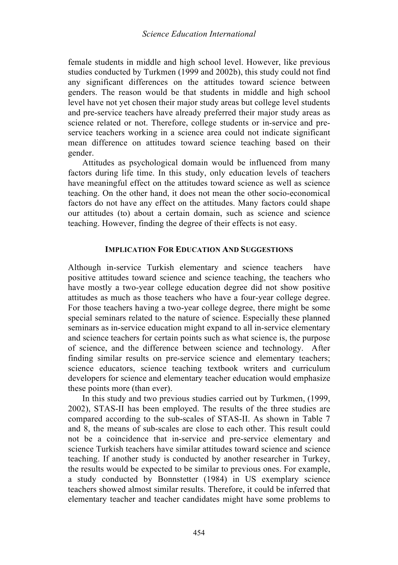female students in middle and high school level. However, like previous studies conducted by Turkmen (1999 and 2002b), this study could not find any significant differences on the attitudes toward science between genders. The reason would be that students in middle and high school level have not yet chosen their major study areas but college level students and pre-service teachers have already preferred their major study areas as science related or not. Therefore, college students or in-service and preservice teachers working in a science area could not indicate significant mean difference on attitudes toward science teaching based on their gender.

Attitudes as psychological domain would be influenced from many factors during life time. In this study, only education levels of teachers have meaningful effect on the attitudes toward science as well as science teaching. On the other hand, it does not mean the other socio-economical factors do not have any effect on the attitudes. Many factors could shape our attitudes (to) about a certain domain, such as science and science teaching. However, finding the degree of their effects is not easy.

### **IMPLICATION FOR EDUCATION AND SUGGESTIONS**

Although in-service Turkish elementary and science teachers have positive attitudes toward science and science teaching, the teachers who have mostly a two-year college education degree did not show positive attitudes as much as those teachers who have a four-year college degree. For those teachers having a two-year college degree, there might be some special seminars related to the nature of science. Especially these planned seminars as in-service education might expand to all in-service elementary and science teachers for certain points such as what science is, the purpose of science, and the difference between science and technology. After finding similar results on pre-service science and elementary teachers; science educators, science teaching textbook writers and curriculum developers for science and elementary teacher education would emphasize these points more (than ever).

In this study and two previous studies carried out by Turkmen, (1999, 2002), STAS-II has been employed. The results of the three studies are compared according to the sub-scales of STAS-II. As shown in Table 7 and 8, the means of sub-scales are close to each other. This result could not be a coincidence that in-service and pre-service elementary and science Turkish teachers have similar attitudes toward science and science teaching. If another study is conducted by another researcher in Turkey, the results would be expected to be similar to previous ones. For example, a study conducted by Bonnstetter (1984) in US exemplary science teachers showed almost similar results. Therefore, it could be inferred that elementary teacher and teacher candidates might have some problems to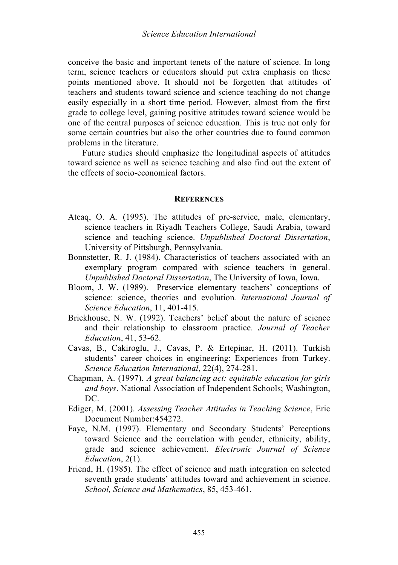conceive the basic and important tenets of the nature of science. In long term, science teachers or educators should put extra emphasis on these points mentioned above. It should not be forgotten that attitudes of teachers and students toward science and science teaching do not change easily especially in a short time period. However, almost from the first grade to college level, gaining positive attitudes toward science would be one of the central purposes of science education. This is true not only for some certain countries but also the other countries due to found common problems in the literature.

Future studies should emphasize the longitudinal aspects of attitudes toward science as well as science teaching and also find out the extent of the effects of socio-economical factors.

#### **REFERENCES**

- Ateaq, O. A. (1995). The attitudes of pre-service, male, elementary, science teachers in Riyadh Teachers College, Saudi Arabia, toward science and teaching science. *Unpublished Doctoral Dissertation*, University of Pittsburgh, Pennsylvania.
- Bonnstetter, R. J. (1984). Characteristics of teachers associated with an exemplary program compared with science teachers in general. *Unpublished Doctoral Dissertation*, The University of Iowa, Iowa.
- Bloom, J. W. (1989). Preservice elementary teachers' conceptions of science: science, theories and evolution*. International Journal of Science Education*, 11, 401-415.
- Brickhouse, N. W. (1992). Teachers' belief about the nature of science and their relationship to classroom practice. *Journal of Teacher Education*, 41, 53-62.
- Cavas, B., Cakiroglu, J., Cavas, P. & Ertepinar, H. (2011). Turkish students' career choices in engineering: Experiences from Turkey. *Science Education International*, 22(4), 274-281.
- Chapman, A. (1997). *A great balancing act: equitable education for girls and boys*. National Association of Independent Schools; Washington, DC.
- Ediger, M. (2001). *Assessing Teacher Attitudes in Teaching Science*, Eric Document Number:454272.
- Faye, N.M. (1997). Elementary and Secondary Students' Perceptions toward Science and the correlation with gender, ethnicity, ability, grade and science achievement. *Electronic Journal of Science Education*, 2(1).
- Friend, H. (1985). The effect of science and math integration on selected seventh grade students' attitudes toward and achievement in science. *School, Science and Mathematics*, 85, 453-461.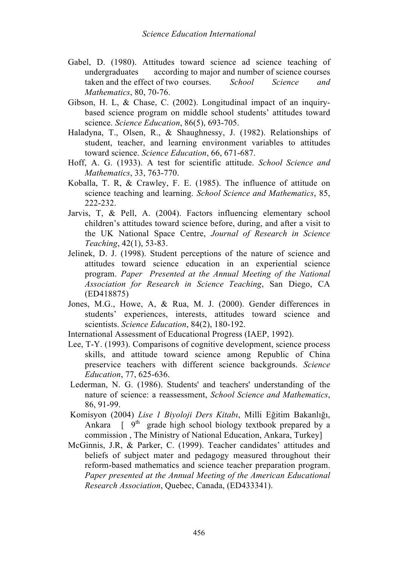- Gabel, D. (1980). Attitudes toward science ad science teaching of undergraduates according to major and number of science courses taken and the effect of two courses. *School Science and Mathematics*, 80, 70-76.
- Gibson, H. L, & Chase, C. (2002). Longitudinal impact of an inquirybased science program on middle school students' attitudes toward science. *Science Education*, 86(5), 693-705.
- Haladyna, T., Olsen, R., & Shaughnessy, J. (1982). Relationships of student, teacher, and learning environment variables to attitudes toward science. *Science Education*, 66, 671-687.
- Hoff, A. G. (1933). A test for scientific attitude. *School Science and Mathematics*, 33, 763-770.
- Koballa, T. R, & Crawley, F. E. (1985). The influence of attitude on science teaching and learning. *School Science and Mathematics*, 85, 222-232.
- Jarvis, T, & Pell, A. (2004). Factors influencing elementary school children's attitudes toward science before, during, and after a visit to the UK National Space Centre, *Journal of Research in Science Teaching*, 42(1), 53-83.
- Jelinek, D. J. (1998). Student perceptions of the nature of science and attitudes toward science education in an experiential science program. *Paper Presented at the Annual Meeting of the National Association for Research in Science Teaching*, San Diego, CA (ED418875)
- Jones, M.G., Howe, A, & Rua, M. J. (2000). Gender differences in students' experiences, interests, attitudes toward science and scientists. *Science Education*, 84(2), 180-192.

International Assessment of Educational Progress (IAEP, 1992).

- Lee, T-Y. (1993). Comparisons of cognitive development, science process skills, and attitude toward science among Republic of China preservice teachers with different science backgrounds. *Science Education*, 77, 625-636.
- Lederman, N. G. (1986). Students' and teachers' understanding of the nature of science: a reassessment, *School Science and Mathematics*, 86, 91-99.
- Komisyon (2004) *Lise 1 Biyoloji Ders Kitabı*, Milli Eğitim Bakanlığı, Ankara  $\int 9^{th}$  grade high school biology textbook prepared by a commission , The Ministry of National Education, Ankara, Turkey]
- McGinnis, J.R, & Parker, C. (1999). Teacher candidates' attitudes and beliefs of subject mater and pedagogy measured throughout their reform-based mathematics and science teacher preparation program. *Paper presented at the Annual Meeting of the American Educational Research Association*, Quebec, Canada, (ED433341).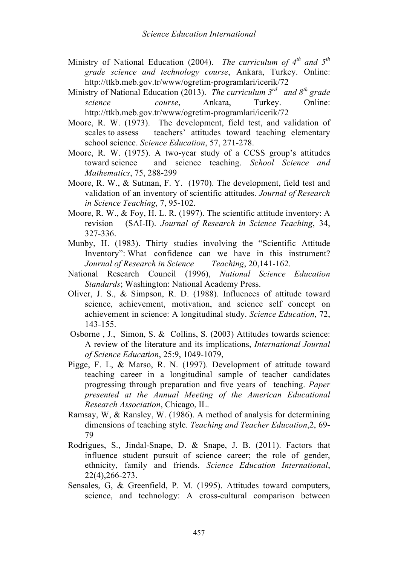- Ministry of National Education (2004). *The curriculum of 4th and 5th grade science and technology course*, Ankara, Turkey. Online: http://ttkb.meb.gov.tr/www/ogretim-programlari/icerik/72
- Ministry of National Education (2013). *The curriculum 3rd and 8th grade science course*, Ankara, Turkey. Online: http://ttkb.meb.gov.tr/www/ogretim-programlari/icerik/72
- Moore, R. W. (1973). The development, field test, and validation of scales to assess teachers' attitudes toward teaching elementary school science. *Science Education*, 57, 271-278.
- Moore, R. W. (1975). A two-year study of a CCSS group's attitudes toward science and science teaching. *School Science and Mathematics*, 75, 288-299
- Moore, R. W., & Sutman, F. Y. (1970). The development, field test and validation of an inventory of scientific attitudes. *Journal of Research in Science Teaching*, 7, 95-102.
- Moore, R. W., & Foy, H. L. R. (1997). The scientific attitude inventory: A revision (SAI-II). *Journal of Research in Science Teaching*, 34, 327-336.
- Munby, H. (1983). Thirty studies involving the "Scientific Attitude Inventory": What confidence can we have in this instrument? *Journal of Research in Science Teaching*, 20,141-162.
- National Research Council (1996), *National Science Education Standards*; Washington: National Academy Press.
- Oliver, J. S., & Simpson, R. D. (1988). Influences of attitude toward science, achievement, motivation, and science self concept on achievement in science: A longitudinal study. *Science Education*, 72, 143-155.
- Osborne , J., Simon, S. & Collins, S. (2003) Attitudes towards science: A review of the literature and its implications, *International Journal of Science Education*, 25:9, 1049-1079,
- Pigge, F. L, & Marso, R. N. (1997). Development of attitude toward teaching career in a longitudinal sample of teacher candidates progressing through preparation and five years of teaching. *Paper presented at the Annual Meeting of the American Educational Research Association*, Chicago, IL.
- Ramsay, W, & Ransley, W. (1986). A method of analysis for determining dimensions of teaching style. *Teaching and Teacher Education*,2, 69- 79
- Rodrigues, S., Jindal-Snape, D. & Snape, J. B. (2011). Factors that influence student pursuit of science career; the role of gender, ethnicity, family and friends. *Science Education International*, 22(4),266-273.
- Sensales, G, & Greenfield, P. M. (1995). Attitudes toward computers, science, and technology: A cross-cultural comparison between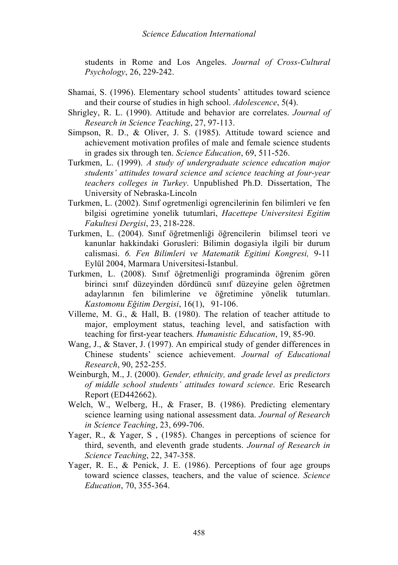students in Rome and Los Angeles. *Journal of Cross-Cultural Psychology*, 26, 229-242.

- Shamai, S. (1996). Elementary school students' attitudes toward science and their course of studies in high school. *Adolescence*, 5(4).
- Shrigley, R. L. (1990). Attitude and behavior are correlates. *Journal of Research in Science Teaching*, 27, 97-113.
- Simpson, R. D., & Oliver, J. S. (1985). Attitude toward science and achievement motivation profiles of male and female science students in grades six through ten. *Science Education*, 69, 511-526.
- Turkmen, L. (1999). *A study of undergraduate science education major students' attitudes toward science and science teaching at four-year teachers colleges in Turkey*. Unpublished Ph.D. Dissertation, The University of Nebraska-Lincoln
- Turkmen, L. (2002). Sınıf ogretmenligi ogrencilerinin fen bilimleri ve fen bilgisi ogretimine yonelik tutumlari, *Hacettepe Universitesi Egitim Fakultesi Dergisi*, 23, 218-228.
- Turkmen, L. (2004). Sınıf öğretmenliği öğrencilerin bilimsel teori ve kanunlar hakkindaki Gorusleri: Bilimin dogasiyla ilgili bir durum calismasi. *6. Fen Bilimleri ve Matematik Egitimi Kongresi,* 9-11 Eylül 2004, Marmara Universitesi-İstanbul.
- Turkmen, L. (2008). Sınıf öğretmenliği programinda öğrenim gören birinci sınıf düzeyinden dördüncü sınıf düzeyine gelen öğretmen adaylarının fen bilimlerine ve öğretimine yönelik tutumları. *Kastomonu Eğitim Dergisi*, 16(1), 91-106.
- Villeme, M. G., & Hall, B. (1980). The relation of teacher attitude to major, employment status, teaching level, and satisfaction with teaching for first-year teachers*. Humanistic Education*, 19, 85-90.
- Wang, J., & Staver, J. (1997). An empirical study of gender differences in Chinese students' science achievement. *Journal of Educational Research*, 90, 252-255.
- Weinburgh, M., J. (2000). *Gender, ethnicity, and grade level as predictors of middle school students' attitudes toward science*. Eric Research Report (ED442662).
- Welch, W., Welberg, H., & Fraser, B. (1986). Predicting elementary science learning using national assessment data. *Journal of Research in Science Teaching*, 23, 699-706.
- Yager, R., & Yager, S , (1985). Changes in perceptions of science for third, seventh, and eleventh grade students. *Journal of Research in Science Teaching*, 22, 347-358.
- Yager, R. E., & Penick, J. E. (1986). Perceptions of four age groups toward science classes, teachers, and the value of science. *Science Education*, 70, 355-364.